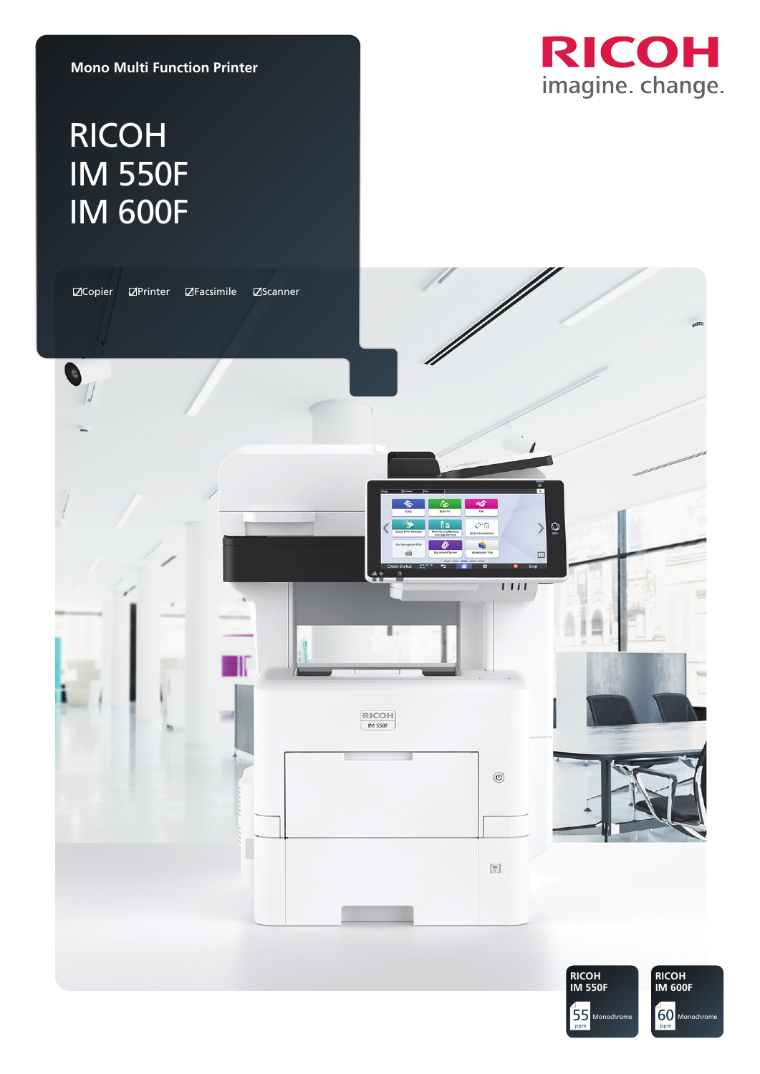

#### **Mono Multi Function Printer**

# RICOH IM 550F IM 600F

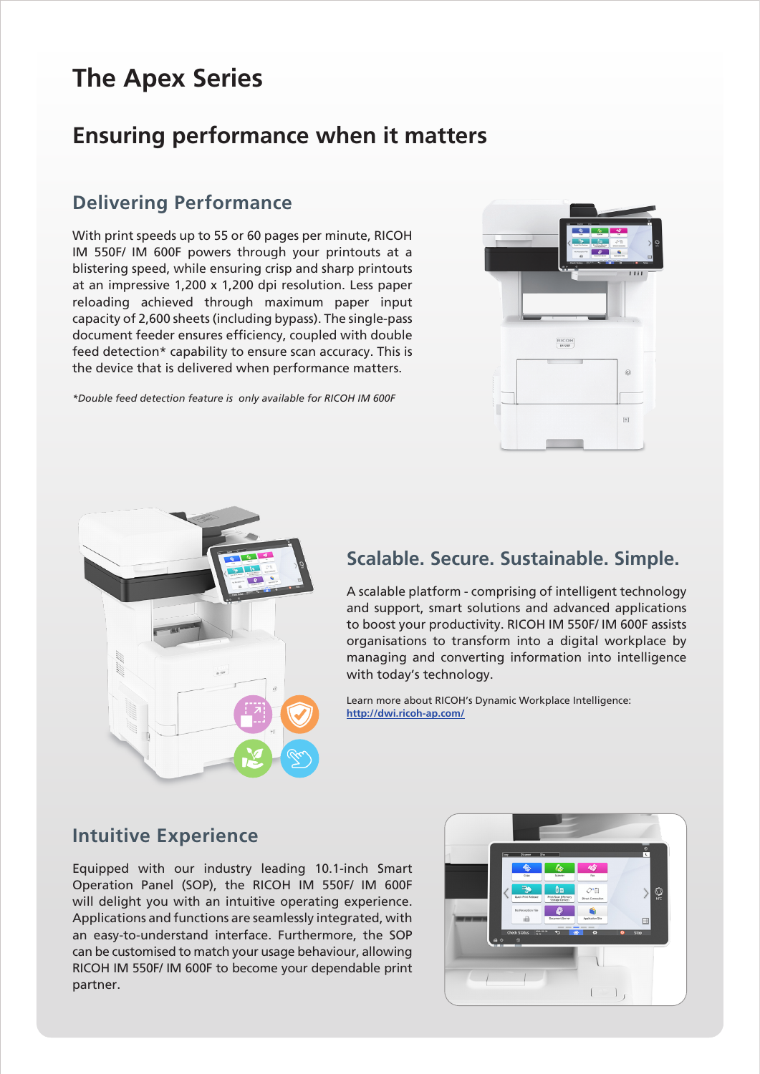## **The Apex Series**

## **Ensuring performance when it matters**

### **Delivering Performance**

With print speeds up to 55 or 60 pages per minute, RICOH IM 550F/ IM 600F powers through your printouts at a blistering speed, while ensuring crisp and sharp printouts at an impressive 1,200 x 1,200 dpi resolution. Less paper reloading achieved through maximum paper input capacity of 2,600 sheets (including bypass). The single-pass document feeder ensures efficiency, coupled with double feed detection\* capability to ensure scan accuracy. This is the device that is delivered when performance matters.

*\*Double feed detection feature is only available for RICOH IM 600F*





#### **Scalable. Secure. Sustainable. Simple.**

A scalable platform - comprising of intelligent technology and support, smart solutions and advanced applications to boost your productivity. RICOH IM 550F/ IM 600F assists organisations to transform into a digital workplace by managing and converting information into intelligence with today's technology.

Learn more about RICOH's Dynamic Workplace Intelligence: **http://dwi.ricoh-ap.com/**

#### **Intuitive Experience**

Equipped with our industry leading 10.1-inch Smart Operation Panel (SOP), the RICOH IM 550F/ IM 600F will delight you with an intuitive operating experience. Applications and functions are seamlessly integrated, with an easy-to-understand interface. Furthermore, the SOP can be customised to match your usage behaviour, allowing RICOH IM 550F/ IM 600F to become your dependable print partner.

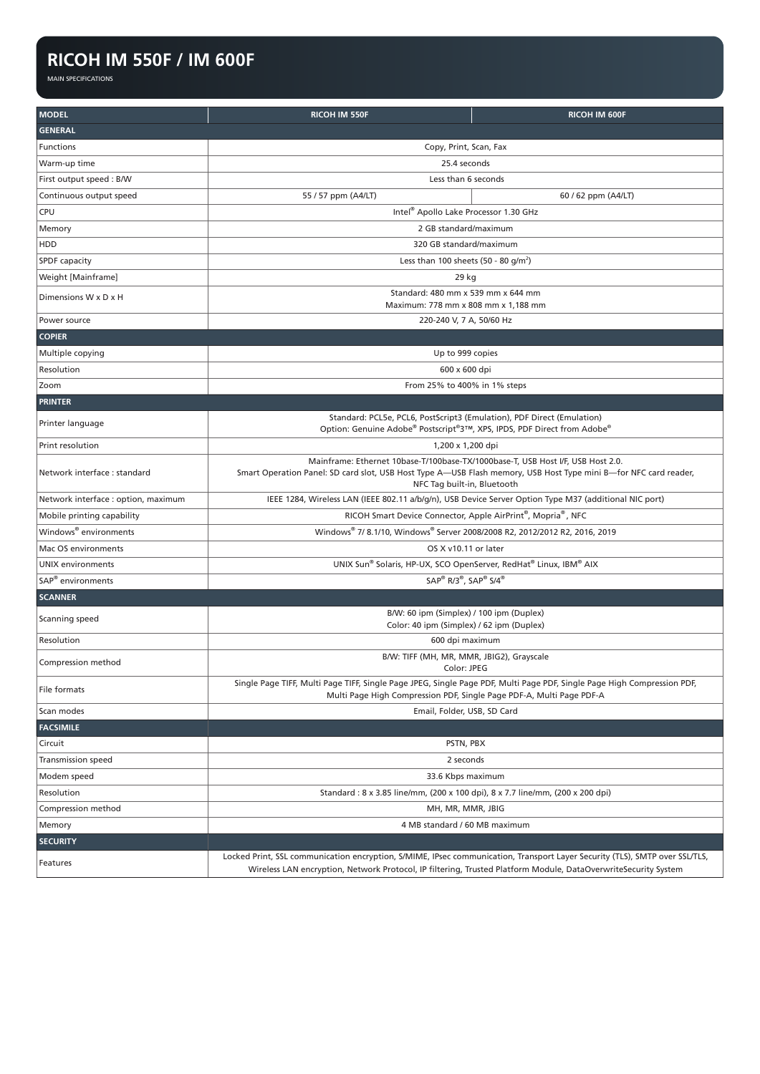#### **RICOH IM 550F / IM 600F**

MAIN SPECIFICATIONS

| <b>MODEL</b>                        | RICOH IM 550F                                                                                                                                                                                                                                 | <b>RICOH IM 600F</b> |
|-------------------------------------|-----------------------------------------------------------------------------------------------------------------------------------------------------------------------------------------------------------------------------------------------|----------------------|
| <b>GENERAL</b>                      |                                                                                                                                                                                                                                               |                      |
| Functions                           | Copy, Print, Scan, Fax                                                                                                                                                                                                                        |                      |
| Warm-up time                        | 25.4 seconds                                                                                                                                                                                                                                  |                      |
| First output speed: B/W             | Less than 6 seconds                                                                                                                                                                                                                           |                      |
| Continuous output speed             | 55 / 57 ppm (A4/LT)                                                                                                                                                                                                                           | 60 / 62 ppm (A4/LT)  |
| CPU                                 | Intel® Apollo Lake Processor 1.30 GHz                                                                                                                                                                                                         |                      |
| Memory                              | 2 GB standard/maximum                                                                                                                                                                                                                         |                      |
| HDD                                 | 320 GB standard/maximum                                                                                                                                                                                                                       |                      |
| <b>SPDF</b> capacity                | Less than 100 sheets (50 - 80 g/m <sup>2</sup> )                                                                                                                                                                                              |                      |
| Weight [Mainframe]                  | 29 kg                                                                                                                                                                                                                                         |                      |
| Dimensions W x D x H                | Standard: 480 mm x 539 mm x 644 mm<br>Maximum: 778 mm x 808 mm x 1,188 mm                                                                                                                                                                     |                      |
| Power source                        | 220-240 V, 7 A, 50/60 Hz                                                                                                                                                                                                                      |                      |
| <b>COPIER</b>                       |                                                                                                                                                                                                                                               |                      |
| Multiple copying                    | Up to 999 copies                                                                                                                                                                                                                              |                      |
| Resolution                          | 600 x 600 dpi                                                                                                                                                                                                                                 |                      |
| Zoom                                | From 25% to 400% in 1% steps                                                                                                                                                                                                                  |                      |
| <b>PRINTER</b>                      |                                                                                                                                                                                                                                               |                      |
| Printer language                    | Standard: PCL5e, PCL6, PostScript3 (Emulation), PDF Direct (Emulation)<br>Option: Genuine Adobe® Postscript®3™, XPS, IPDS, PDF Direct from Adobe®                                                                                             |                      |
| Print resolution                    | 1,200 x 1,200 dpi                                                                                                                                                                                                                             |                      |
| Network interface : standard        | Mainframe: Ethernet 10base-T/100base-TX/1000base-T, USB Host I/F, USB Host 2.0.<br>Smart Operation Panel: SD card slot, USB Host Type A—USB Flash memory, USB Host Type mini B—for NFC card reader,<br>NFC Tag built-in, Bluetooth            |                      |
| Network interface : option, maximum | IEEE 1284, Wireless LAN (IEEE 802.11 a/b/g/n), USB Device Server Option Type M37 (additional NIC port)                                                                                                                                        |                      |
| Mobile printing capability          | RICOH Smart Device Connector, Apple AirPrint®, Mopria®, NFC                                                                                                                                                                                   |                      |
| Windows® environments               | Windows® 7/8.1/10, Windows® Server 2008/2008 R2, 2012/2012 R2, 2016, 2019                                                                                                                                                                     |                      |
| Mac OS environments                 | OS X v10.11 or later                                                                                                                                                                                                                          |                      |
| <b>UNIX</b> environments            | UNIX Sun® Solaris, HP-UX, SCO OpenServer, RedHat® Linux, IBM® AIX                                                                                                                                                                             |                      |
| SAP <sup>®</sup> environments       | SAP® R/3®, SAP® S/4®                                                                                                                                                                                                                          |                      |
| <b>SCANNER</b>                      |                                                                                                                                                                                                                                               |                      |
| Scanning speed                      | B/W: 60 ipm (Simplex) / 100 ipm (Duplex)<br>Color: 40 ipm (Simplex) / 62 ipm (Duplex)                                                                                                                                                         |                      |
| Resolution                          | 600 dpi maximum                                                                                                                                                                                                                               |                      |
| Compression method                  | B/W: TIFF (MH, MR, MMR, JBIG2), Grayscale<br>Color: JPEG                                                                                                                                                                                      |                      |
| File formats                        | Single Page TIFF, Multi Page TIFF, Single Page JPEG, Single Page PDF, Multi Page PDF, Single Page High Compression PDF,<br>Multi Page High Compression PDF, Single Page PDF-A, Multi Page PDF-A                                               |                      |
| Scan modes                          | Email, Folder, USB, SD Card                                                                                                                                                                                                                   |                      |
| <b>FACSIMILE</b>                    |                                                                                                                                                                                                                                               |                      |
| Circuit                             | PSTN, PBX                                                                                                                                                                                                                                     |                      |
| Transmission speed                  | 2 seconds                                                                                                                                                                                                                                     |                      |
| Modem speed                         | 33.6 Kbps maximum                                                                                                                                                                                                                             |                      |
| Resolution                          | Standard: 8 x 3.85 line/mm, (200 x 100 dpi), 8 x 7.7 line/mm, (200 x 200 dpi)                                                                                                                                                                 |                      |
| Compression method                  | MH, MR, MMR, JBIG                                                                                                                                                                                                                             |                      |
| Memory                              | 4 MB standard / 60 MB maximum                                                                                                                                                                                                                 |                      |
| <b>SECURITY</b>                     |                                                                                                                                                                                                                                               |                      |
| Features                            | Locked Print, SSL communication encryption, S/MIME, IPsec communication, Transport Layer Security (TLS), SMTP over SSL/TLS,<br>Wireless LAN encryption, Network Protocol, IP filtering, Trusted Platform Module, DataOverwriteSecurity System |                      |